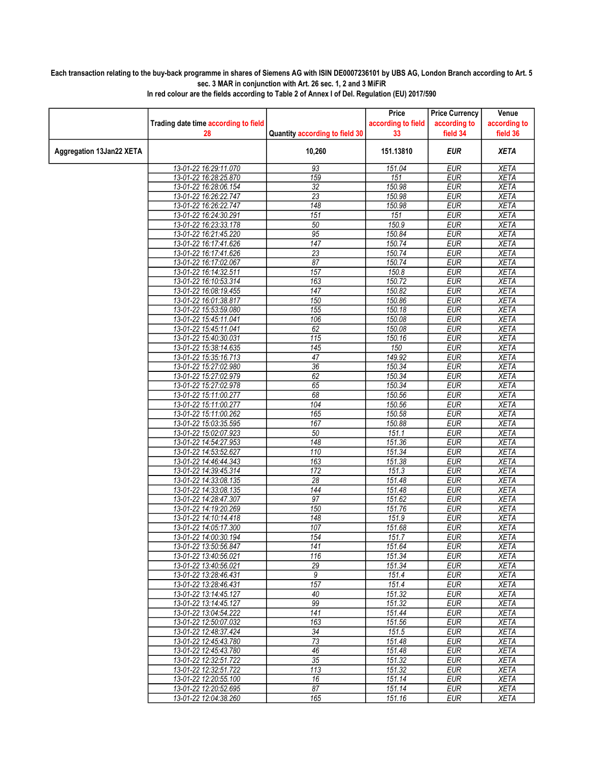## Each transaction relating to the buy-back programme in shares of Siemens AG with ISIN DE0007236101 by UBS AG, London Branch according to Art. 5 sec. 3 MAR in conjunction with Art. 26 sec. 1, 2 and 3 MiFiR

|                          |                                                |                                | Price              | <b>Price Currency</b>    | Venue                      |
|--------------------------|------------------------------------------------|--------------------------------|--------------------|--------------------------|----------------------------|
|                          | Trading date time according to field           |                                | according to field | according to             | according to               |
|                          | 28                                             | Quantity according to field 30 | 33                 | field 34                 | field 36                   |
| Aggregation 13Jan22 XETA |                                                | 10,260                         | 151.13810          | <b>EUR</b>               | <b>XETA</b>                |
|                          | 13-01-22 16:29:11.070                          | 93                             | 151.04             | <b>EUR</b>               | <b>XETA</b>                |
|                          | 13-01-22 16:28:25.870                          | 159                            | 151                | <b>EUR</b>               | <b>XETA</b>                |
|                          | 13-01-22 16:28:06.154                          | $\overline{32}$                | 150.98             | EUR                      | <b>XETA</b>                |
|                          | 13-01-22 16:26:22.747                          | 23                             | 150.98             | <b>EUR</b>               | <b>XETA</b>                |
|                          | 13-01-22 16:26:22.747                          | 148                            | 150.98             | <b>EUR</b>               | <b>XETA</b>                |
|                          | 13-01-22 16:24:30.291                          | 151                            | 151                | <b>EUR</b>               | <b>XETA</b>                |
|                          | 13-01-22 16:23:33.178                          | 50                             | 150.9              | <b>EUR</b>               | <b>XETA</b>                |
|                          | 13-01-22 16:21:45.220                          | 95                             | 150.84             | <b>EUR</b>               | <b>XETA</b>                |
|                          | 13-01-22 16:17:41.626                          | $\overline{147}$               | 150.74             | <b>EUR</b>               | <b>XETA</b>                |
|                          | 13-01-22 16:17:41.626                          | 23                             | 150.74             | <b>EUR</b>               | <b>XETA</b>                |
|                          | 13-01-22 16:17:02.067                          | 87                             | 150.74             | <b>EUR</b>               | <b>XETA</b>                |
|                          | 13-01-22 16:14:32.511                          | 157                            | 150.8              | <b>EUR</b>               | <b>XETA</b>                |
|                          | 13-01-22 16:10:53.314                          | 163                            | 150.72             | <b>EUR</b>               | <b>XETA</b>                |
|                          | 13-01-22 16:08:19.455                          | 147                            | 150.82             | <b>EUR</b>               | <b>XETA</b>                |
|                          | 13-01-22 16:01:38.817                          | 150                            | 150.86             | <b>EUR</b>               | <b>XETA</b>                |
|                          | 13-01-22 15:53:59.080                          | 155                            | 150.18             | <b>EUR</b>               | <b>XETA</b>                |
|                          | 13-01-22 15:45:11.041                          | 106                            | 150.08             | <b>EUR</b>               | <b>XETA</b>                |
|                          | 13-01-22 15:45:11.041                          | 62                             | 150.08             | <b>EUR</b>               | <b>XETA</b>                |
|                          | 13-01-22 15:40:30.031                          | 115                            | 150.16             | <b>EUR</b>               | <b>XETA</b>                |
|                          | 13-01-22 15:38:14.635                          | 145                            | 150                | <b>EUR</b>               | <b>XETA</b>                |
|                          | 13-01-22 15:35:16.713                          | 47                             | 149.92             | <b>EUR</b>               | <b>XETA</b>                |
|                          | 13-01-22 15:27:02.980                          | $\overline{36}$                | 150.34             | <b>EUR</b>               | <b>XETA</b>                |
|                          | 13-01-22 15:27:02.979                          | 62                             | 150.34             | <b>EUR</b>               | <b>XETA</b>                |
|                          | 13-01-22 15:27:02.978                          | 65                             | 150.34             | <b>EUR</b>               | <b>XETA</b>                |
|                          | 13-01-22 15:11:00.277                          | 68                             | 150.56             | <b>EUR</b>               | <b>XETA</b>                |
|                          | 13-01-22 15:11:00.277                          | 104                            | 150.56             | <b>EUR</b>               | <b>XETA</b>                |
|                          | 13-01-22 15:11:00.262<br>13-01-22 15:03:35.595 | 165<br>167                     | 150.58             | <b>EUR</b><br><b>EUR</b> | <b>XETA</b><br><b>XETA</b> |
|                          | 13-01-22 15:02:07.923                          | 50                             | 150.88<br>151.1    | <b>EUR</b>               | <b>XETA</b>                |
|                          | 13-01-22 14:54:27.953                          | 148                            |                    | <b>EUR</b>               | <b>XETA</b>                |
|                          | 13-01-22 14:53:52.627                          | 110                            | 151.36<br>151.34   | <b>EUR</b>               | <b>XETA</b>                |
|                          | 13-01-22 14:46:44.343                          | 163                            | 151.38             | <b>EUR</b>               | <b>XETA</b>                |
|                          | 13-01-22 14:39:45.314                          | 172                            | 151.3              | <b>EUR</b>               | <b>XETA</b>                |
|                          | 13-01-22 14:33:08.135                          | 28                             | 151.48             | <b>EUR</b>               | <b>XETA</b>                |
|                          | 13-01-22 14:33:08.135                          | 144                            | 151.48             | <b>EUR</b>               | <b>XETA</b>                |
|                          | 13-01-22 14:28:47.307                          | $\overline{97}$                | 151.62             | <b>EUR</b>               | <b>XETA</b>                |
|                          | 13-01-22 14:19:20.269                          | 150                            | 151.76             | <b>EUR</b>               | <b>XETA</b>                |
|                          | 13-01-22 14:10:14.418                          | 148                            | 151.9              | <b>EUR</b>               | <b>XETA</b>                |
|                          | 13-01-22 14:05:17.300                          | 107                            | 151.68             | <b>EUR</b>               | <b>XETA</b>                |
|                          | 13-01-22 14:00:30 194                          | 154                            | 151.7              | <b>FUR</b>               | <b>XETA</b>                |
|                          | 13-01-22 13:50:56.847                          | 141                            | 151.64             | <b>EUR</b>               | <b>XETA</b>                |
|                          | 13-01-22 13:40:56.021                          | 116                            | 151.34             | <b>EUR</b>               | XETA                       |
|                          | 13-01-22 13:40:56.021                          | $\overline{29}$                | 151.34             | <b>EUR</b>               | <b>XETA</b>                |
|                          | 13-01-22 13:28:46.431                          | 9                              | 151.4              | <b>EUR</b>               | <b>XETA</b>                |
|                          | 13-01-22 13:28:46.431                          | 157                            | 151.4              | <b>EUR</b>               | <b>XETA</b>                |
|                          | 13-01-22 13:14:45.127                          | 40                             | 151.32             | <b>EUR</b>               | <b>XETA</b>                |
|                          | 13-01-22 13:14:45.127                          | 99                             | 151.32             | <b>EUR</b>               | <b>XETA</b>                |
|                          | 13-01-22 13:04:54.222                          | 141                            | 151.44             | <b>EUR</b>               | <b>XETA</b>                |
|                          | 13-01-22 12:50:07.032                          | 163                            | 151.56             | <b>EUR</b>               | XETA                       |
|                          | 13-01-22 12:48:37.424                          | 34                             | 151.5              | <b>EUR</b>               | <b>XETA</b>                |
|                          | 13-01-22 12:45:43.780                          | 73                             | 151.48             | <b>EUR</b>               | <b>XETA</b>                |
|                          | 13-01-22 12:45:43.780                          | 46                             | 151.48             | <b>EUR</b>               | XETA                       |
|                          | 13-01-22 12:32:51.722                          | 35                             | 151.32             | <b>EUR</b>               | <b>XETA</b>                |
|                          | 13-01-22 12:32:51.722                          | 113                            | 151.32             | <b>EUR</b>               | XETA                       |
|                          | 13-01-22 12:20:55.100                          | 16                             | 151.14             | <b>EUR</b>               | <b>XETA</b>                |
|                          | 13-01-22 12:20:52.695                          | 87                             | 151.14             | EUR                      | <b>XETA</b>                |
|                          | 13-01-22 12:04:38.260                          | 165                            | 151.16             | EUR                      | XETA                       |

In red colour are the fields according to Table 2 of Annex I of Del. Regulation (EU) 2017/590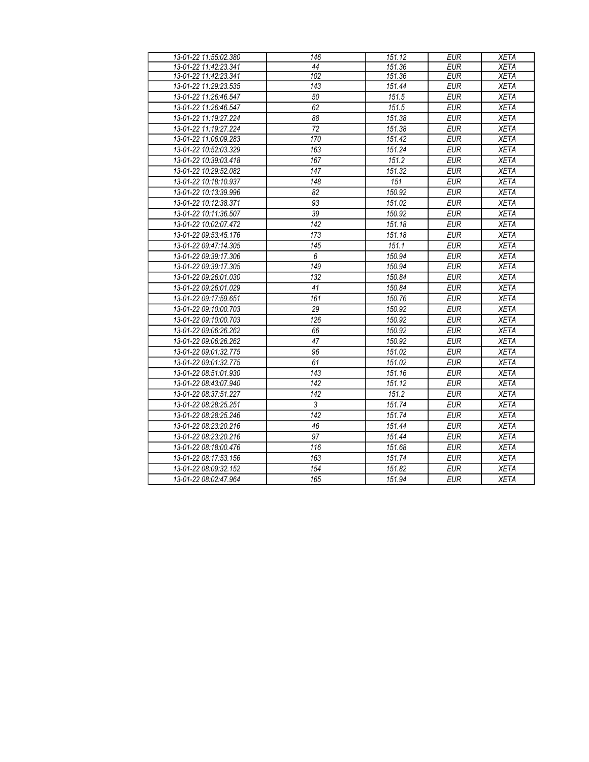| 13-01-22 11:55:02.380 | 146             | 151.12 | <b>EUR</b> | <b>XETA</b> |
|-----------------------|-----------------|--------|------------|-------------|
| 13-01-22 11:42:23.341 | 44              | 151.36 | <b>EUR</b> | <b>XETA</b> |
| 13-01-22 11:42:23.341 | 102             | 151.36 | <b>EUR</b> | <b>XETA</b> |
| 13-01-22 11:29:23.535 | 143             | 151.44 | <b>EUR</b> | <b>XETA</b> |
| 13-01-22 11:26:46.547 | 50              | 151.5  | <b>EUR</b> | <b>XETA</b> |
| 13-01-22 11:26:46.547 | 62              | 151.5  | <b>EUR</b> | <b>XETA</b> |
| 13-01-22 11:19:27.224 | 88              | 151.38 | <b>EUR</b> | <b>XETA</b> |
| 13-01-22 11:19:27.224 | 72              | 151.38 | <b>EUR</b> | <b>XETA</b> |
| 13-01-22 11:06:09.283 | 170             | 151.42 | <b>EUR</b> | <b>XETA</b> |
| 13-01-22 10:52:03.329 | 163             | 151.24 | <b>EUR</b> | <b>XETA</b> |
| 13-01-22 10:39:03.418 | 167             | 151.2  | <b>EUR</b> | <b>XETA</b> |
| 13-01-22 10:29:52.082 | 147             | 151.32 | <b>EUR</b> | <b>XETA</b> |
| 13-01-22 10:18:10.937 | 148             | 151    | <b>EUR</b> | <b>XETA</b> |
| 13-01-22 10:13:39.996 | $\overline{82}$ | 150.92 | <b>EUR</b> | <b>XETA</b> |
| 13-01-22 10:12:38.371 | 93              | 151.02 | <b>EUR</b> | <b>XETA</b> |
| 13-01-22 10:11:36.507 | $\overline{39}$ | 150.92 | <b>EUR</b> | <b>XETA</b> |
| 13-01-22 10:02:07.472 | 142             | 151.18 | <b>EUR</b> | <b>XETA</b> |
| 13-01-22 09:53:45.176 | 173             | 151.18 | <b>EUR</b> | <b>XETA</b> |
| 13-01-22 09:47:14.305 | 145             | 151.1  | <b>EUR</b> | <b>XETA</b> |
| 13-01-22 09:39:17.306 | 6               | 150.94 | <b>EUR</b> | <b>XETA</b> |
| 13-01-22 09:39:17.305 | 149             | 150.94 | <b>EUR</b> | <b>XETA</b> |
| 13-01-22 09:26:01.030 | 132             | 150.84 | <b>EUR</b> | <b>XETA</b> |
| 13-01-22 09:26:01.029 | 41              | 150.84 | <b>EUR</b> | <b>XETA</b> |
| 13-01-22 09:17:59.651 | 161             | 150.76 | <b>EUR</b> | <b>XETA</b> |
| 13-01-22 09:10:00.703 | 29              | 150.92 | <b>EUR</b> | <b>XETA</b> |
| 13-01-22 09:10:00.703 | 126             | 150.92 | <b>EUR</b> | <b>XETA</b> |
| 13-01-22 09:06:26.262 | 66              | 150.92 | <b>EUR</b> | <b>XETA</b> |
| 13-01-22 09:06:26.262 | 47              | 150.92 | <b>EUR</b> | <b>XETA</b> |
| 13-01-22 09:01:32.775 | 96              | 151.02 | <b>EUR</b> | <b>XETA</b> |
| 13-01-22 09:01:32.775 | 61              | 151.02 | <b>EUR</b> | <b>XETA</b> |
| 13-01-22 08:51:01.930 | 143             | 151.16 | <b>EUR</b> | <b>XETA</b> |
| 13-01-22 08:43:07.940 | 142             | 151.12 | <b>EUR</b> | <b>XETA</b> |
| 13-01-22 08:37:51.227 | 142             | 151.2  | <b>EUR</b> | <b>XETA</b> |
| 13-01-22 08:28:25.251 | $\mathfrak{Z}$  | 151.74 | <b>EUR</b> | <b>XETA</b> |
| 13-01-22 08:28:25.246 | 142             | 151.74 | <b>EUR</b> | <b>XETA</b> |
| 13-01-22 08:23:20.216 | 46              | 151.44 | <b>EUR</b> | <b>XETA</b> |
| 13-01-22 08:23:20.216 | 97              | 151.44 | <b>EUR</b> | <b>XETA</b> |
| 13-01-22 08:18:00.476 | 116             | 151.68 | <b>EUR</b> | <b>XETA</b> |
| 13-01-22 08:17:53.156 | 163             | 151.74 | <b>EUR</b> | <b>XETA</b> |
| 13-01-22 08:09:32.152 | 154             | 151.82 | <b>EUR</b> | <b>XETA</b> |
| 13-01-22 08:02:47.964 | 165             | 151.94 | <b>EUR</b> | <b>XETA</b> |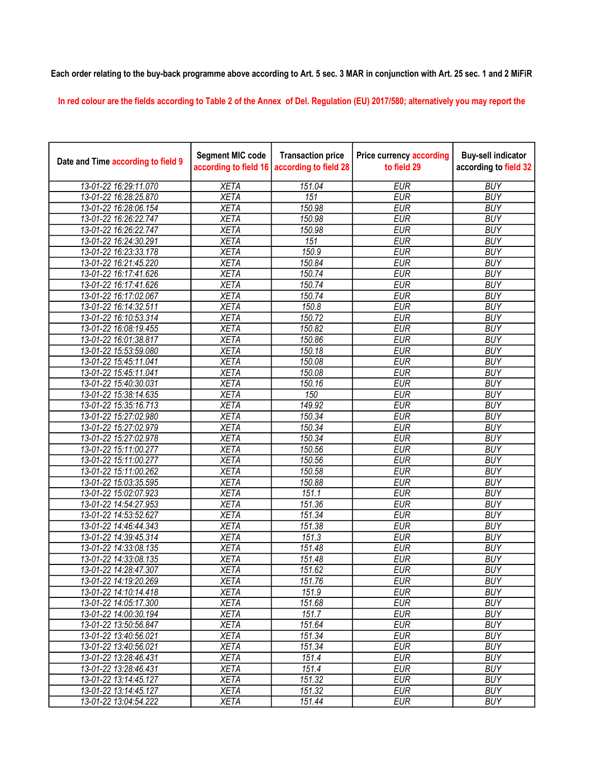## Each order relating to the buy-back programme above according to Art. 5 sec. 3 MAR in conjunction with Art. 25 sec. 1 and 2 MiFiR

In red colour are the fields according to Table 2 of the Annex of Del. Regulation (EU) 2017/580; alternatively you may report the

| Date and Time according to field 9 | <b>Segment MIC code</b><br>according to field 16 | <b>Transaction price</b><br>according to field 28 | <b>Price currency according</b><br>to field 29 | <b>Buy-sell indicator</b><br>according to field 32 |
|------------------------------------|--------------------------------------------------|---------------------------------------------------|------------------------------------------------|----------------------------------------------------|
| 13-01-22 16:29:11.070              | <b>XETA</b>                                      | 151.04                                            | <b>EUR</b>                                     | <b>BUY</b>                                         |
| 13-01-22 16:28:25.870              | <b>XETA</b>                                      | 151                                               | <b>EUR</b>                                     | <b>BUY</b>                                         |
| 13-01-22 16:28:06.154              | <b>XETA</b>                                      | 150.98                                            | <b>EUR</b>                                     | <b>BUY</b>                                         |
| 13-01-22 16:26:22.747              | <b>XETA</b>                                      | 150.98                                            | <b>EUR</b>                                     | <b>BUY</b>                                         |
| 13-01-22 16:26:22.747              | <b>XETA</b>                                      | 150.98                                            | <b>EUR</b>                                     | <b>BUY</b>                                         |
| 13-01-22 16:24:30.291              | <b>XETA</b>                                      | 151                                               | <b>EUR</b>                                     | <b>BUY</b>                                         |
| 13-01-22 16:23:33.178              | <b>XETA</b>                                      | 150.9                                             | <b>EUR</b>                                     | <b>BUY</b>                                         |
| 13-01-22 16:21:45.220              | <b>XETA</b>                                      | 150.84                                            | <b>EUR</b>                                     | <b>BUY</b>                                         |
| 13-01-22 16:17:41.626              | <b>XETA</b>                                      | 150.74                                            | <b>EUR</b>                                     | <b>BUY</b>                                         |
| 13-01-22 16:17:41.626              | <b>XETA</b>                                      | 150.74                                            | <b>EUR</b>                                     | <b>BUY</b>                                         |
| 13-01-22 16:17:02.067              | <b>XETA</b>                                      | 150.74                                            | <b>EUR</b>                                     | <b>BUY</b>                                         |
| 13-01-22 16:14:32.511              | <b>XETA</b>                                      | 150.8                                             | <b>EUR</b>                                     | <b>BUY</b>                                         |
| 13-01-22 16:10:53.314              | <b>XETA</b>                                      | 150.72                                            | <b>EUR</b>                                     | <b>BUY</b>                                         |
| 13-01-22 16:08:19.455              | <b>XETA</b>                                      | 150.82                                            | <b>EUR</b>                                     | <b>BUY</b>                                         |
| 13-01-22 16:01:38.817              | <b>XETA</b>                                      | 150.86                                            | <b>EUR</b>                                     | <b>BUY</b>                                         |
| 13-01-22 15:53:59.080              | <b>XETA</b>                                      | 150.18                                            | <b>EUR</b>                                     | <b>BUY</b>                                         |
| 13-01-22 15:45:11.041              | <b>XETA</b>                                      | 150.08                                            | <b>EUR</b>                                     | <b>BUY</b>                                         |
| 13-01-22 15:45:11.041              | <b>XETA</b>                                      | 150.08                                            | <b>EUR</b>                                     | <b>BUY</b>                                         |
| 13-01-22 15:40:30.031              | <b>XETA</b>                                      | 150.16                                            | <b>EUR</b>                                     | <b>BUY</b>                                         |
| 13-01-22 15:38:14.635              | <b>XETA</b>                                      | 150                                               | <b>EUR</b>                                     | <b>BUY</b>                                         |
| 13-01-22 15:35:16.713              | <b>XETA</b>                                      | 149.92                                            | <b>EUR</b>                                     | <b>BUY</b>                                         |
| 13-01-22 15:27:02.980              | <b>XETA</b>                                      | 150.34                                            | <b>EUR</b>                                     | <b>BUY</b>                                         |
| 13-01-22 15:27:02.979              | <b>XETA</b>                                      | 150.34                                            | <b>EUR</b>                                     | <b>BUY</b>                                         |
| 13-01-22 15:27:02.978              | <b>XETA</b>                                      | 150.34                                            | <b>EUR</b>                                     | <b>BUY</b>                                         |
| 13-01-22 15:11:00.277              | <b>XETA</b>                                      | 150.56                                            | <b>EUR</b>                                     | <b>BUY</b>                                         |
| 13-01-22 15:11:00.277              | <b>XETA</b>                                      | 150.56                                            | <b>EUR</b>                                     | <b>BUY</b>                                         |
| 13-01-22 15:11:00.262              | <b>XETA</b>                                      | 150.58                                            | <b>EUR</b>                                     | <b>BUY</b>                                         |
| 13-01-22 15:03:35.595              | <b>XETA</b>                                      | 150.88                                            | <b>EUR</b>                                     | <b>BUY</b>                                         |
| 13-01-22 15:02:07.923              | <b>XETA</b>                                      | 151.1                                             | <b>EUR</b>                                     | <b>BUY</b>                                         |
| 13-01-22 14:54:27.953              | <b>XETA</b>                                      | 151.36                                            | <b>EUR</b>                                     | <b>BUY</b>                                         |
| 13-01-22 14:53:52.627              | <b>XETA</b>                                      | 151.34                                            | <b>EUR</b>                                     | <b>BUY</b>                                         |
| 13-01-22 14:46:44.343              | <b>XETA</b>                                      | 151.38                                            | <b>EUR</b>                                     | <b>BUY</b>                                         |
| 13-01-22 14:39:45.314              | <b>XETA</b>                                      | 151.3                                             | <b>EUR</b>                                     | <b>BUY</b>                                         |
| 13-01-22 14:33:08.135              | <b>XETA</b>                                      | 151.48                                            | <b>EUR</b>                                     | <b>BUY</b>                                         |
| 13-01-22 14:33:08.135              | <b>XETA</b>                                      | 151.48                                            | <b>EUR</b>                                     | <b>BUY</b>                                         |
| 13-01-22 14:28:47.307              | <b>XETA</b>                                      | 151.62                                            | <b>EUR</b>                                     | <b>BUY</b>                                         |
| 13-01-22 14:19:20.269              | <b>XETA</b>                                      | 151.76                                            | <b>EUR</b>                                     | <b>BUY</b>                                         |
| 13-01-22 14:10:14.418              | <b>XETA</b>                                      | 151.9                                             | <b>EUR</b>                                     | <b>BUY</b>                                         |
| 13-01-22 14:05:17.300              | <b>XETA</b>                                      | 151.68                                            | <b>EUR</b>                                     | <b>BUY</b>                                         |
| 13-01-22 14:00:30.194              | <b>XETA</b>                                      | 151.7                                             | <b>EUR</b>                                     | <b>BUY</b>                                         |
| 13-01-22 13:50:56.847              | <b>XETA</b>                                      | 151.64                                            | <b>EUR</b>                                     | <b>BUY</b>                                         |
| 13-01-22 13:40:56.021              | <b>XETA</b>                                      | 151.34                                            | <b>EUR</b>                                     | <b>BUY</b>                                         |
| 13-01-22 13:40:56.021              | <b>XETA</b>                                      | 151.34                                            | <b>EUR</b>                                     | <b>BUY</b>                                         |
| 13-01-22 13:28:46.431              | <b>XETA</b>                                      | 151.4                                             | <b>EUR</b>                                     | <b>BUY</b>                                         |
| 13-01-22 13:28:46.431              | <b>XETA</b>                                      | 151.4                                             | <b>EUR</b>                                     | <b>BUY</b>                                         |
| 13-01-22 13:14:45.127              | <b>XETA</b>                                      | 151.32                                            | <b>EUR</b>                                     | <b>BUY</b>                                         |
| 13-01-22 13:14:45.127              | <b>XETA</b>                                      | 151.32                                            | <b>EUR</b>                                     | <b>BUY</b>                                         |
| 13-01-22 13:04:54.222              | <b>XETA</b>                                      | 151.44                                            | <b>EUR</b>                                     | <b>BUY</b>                                         |